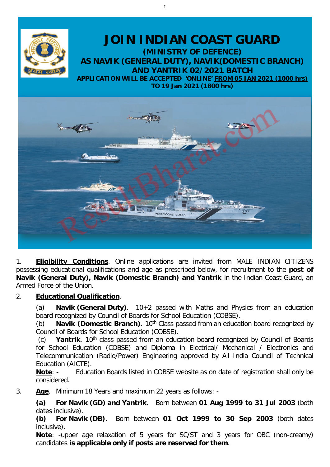

1

1. **Eligibility Conditions**. Online applications are invited from MALE INDIAN CITIZENS possessing educational qualifications and age as prescribed below, for recruitment to the **post of Navik (General Duty), Navik (Domestic Branch) and Yantrik** in the Indian Coast Guard, an Armed Force of the Union.

# 2. **Educational Qualification**.

(a) **Navik (General Duty)**. 10+2 passed with Maths and Physics from an education board recognized by Council of Boards for School Education (COBSE).

(b) **Navik (Domestic Branch)**. 10<sup>th</sup> Class passed from an education board recognized by Council of Boards for School Education (COBSE).

(c) **Yantrik**. 10th class passed from an education board recognized by Council of Boards for School Education (COBSE) and Diploma in Electrical/ Mechanical / Electronics and Telecommunication (Radio/Power) Engineering approved by All India Council of Technical Education (AICTE).

**Note**: - Education Boards listed in COBSE website as on date of registration shall only be considered.

3. **Age**. Minimum 18 Years and maximum 22 years as follows: -

**(a) For Navik (GD) and Yantrik.** Born between **01 Aug 1999 to 31 Jul 2003** (both dates inclusive).

**(b) For Navik (DB).** Born between **01 Oct 1999 to 30 Sep 2003** (both dates inclusive).

**Note**: -upper age relaxation of 5 years for SC/ST and 3 years for OBC (non-creamy) candidates **is applicable only if posts are reserved for them**.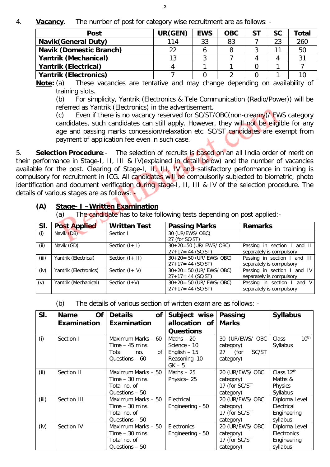4. **Vacancy**. The number of post for category wise recruitment are as follows: -

| <b>Post</b>                    | UR(GEN) | <b>EWS</b> | <b>OBC</b> | <b>ST</b> | <b>SC</b> | Total   |
|--------------------------------|---------|------------|------------|-----------|-----------|---------|
| <b>Navik (General Duty)</b>    | 114     | 33         | 83         |           | 23        | 260     |
| <b>Navik (Domestic Branch)</b> | 22      |            |            |           |           | 50      |
| <b>Yantrik (Mechanical)</b>    | 13      |            |            |           |           | ر-<br>ب |
| <b>Yantrik (Electrical)</b>    |         |            |            |           |           |         |
| <b>Yantrik (Electronics)</b>   |         |            |            |           |           |         |

**Note:** (a) These vacancies are tentative and may change depending on availability of training slots.

(b) For simplicity, Yantrik (Electronics & Tele Communication (Radio/Power)) will be referred as Yantrik (Electronics) in the advertisement.

(c) Even if there is no vacancy reserved for SC/ST/OBC(non-creamy)/ EWS category candidates, such candidates can still apply. However, they will not be eligible for any age and passing marks concession/relaxation etc. SC/ST candidates are exempt from payment of application fee even in such case.

5. **Selection Procedure**:- The selection of recruits is based on an all India order of merit on their performance in Stage-I, II, III & IV(explained in detail below) and the number of vacancies available for the post. Clearing of Stage-I, II, III, IV and satisfactory performance in training is compulsory for recruitment in ICG. All candidates will be compulsorily subjected to biometric, photo identification and document verification during stage-I, II, III & IV of the selection procedure. The details of various stages are as follows:

## **(A) Stage- I –Written Examination**

(a) The candidate has to take following tests depending on post applied:-

| SI.   | <b>Post Applied</b>   | <b>Written Test</b> | <b>Passing Marks</b>                            | <b>Remarks</b>                                           |
|-------|-----------------------|---------------------|-------------------------------------------------|----------------------------------------------------------|
| (i)   | Navik (DB)            | Section I           | 30 (UR/EWS/ OBC)<br>27 (for SC/ST)              |                                                          |
| (ii)  | Navik (GD)            | Section $(I+II)$    | $30+20=50$ (UR/ EWS/ OBC)<br>$27+17=44$ (SC/ST) | Passing in section I and II<br>separately is compulsory  |
| (iii) | Yantrik (Electrical)  | Section (I+III)     | $30+20=50$ (UR/ EWS/ OBC)<br>$27+17=44$ (SC/ST) | Passing in section I and III<br>separately is compulsory |
| (iv)  | Yantrik (Electronics) | Section $(I+IV)$    | $30+20=50$ (UR/ EWS/ OBC)<br>$27+17=44$ (SC/ST) | Passing in section I and IV<br>separately is compulsory  |
| (v)   | Yantrik (Mechanical)  | Section $(I+V)$     | $30+20=50$ (UR/ EWS/ OBC)<br>$27+17=44$ (SC/ST) | Passing in section I and V<br>separately is compulsory   |

(b) The details of various section of written exam are as follows: -

| SI.   | Of<br><b>Name</b> | <b>Details</b><br><b>of</b> | Subject wise     | <b>Passing</b>   | <b>Syllabus</b>           |
|-------|-------------------|-----------------------------|------------------|------------------|---------------------------|
|       | Examination       | Examination                 | allocation of    | <b>Marks</b>     |                           |
|       |                   |                             | <b>Questions</b> |                  |                           |
| (i)   | Section I         | Maximum Marks - 60          | Maths $-20$      | 30 (UR/EWS/ OBC  | $10^{\text{th}}$<br>Class |
|       |                   | Time $-45$ mins.            | Science - 10     | category)        | Syllabus                  |
|       |                   | Total<br>of I<br>no.        | English $-15$    | 27 (for<br>SC/ST |                           |
|       |                   | Questions $-60$             | Reasoning-10     | category)        |                           |
|       |                   |                             | $GK - 5$         |                  |                           |
| (ii)  | Section II        | Maximum Marks - 50          | Maths $-25$      | 20 (UR/EWS/ OBC  | Class 12th                |
|       |                   | Time $-30$ mins.            | Physics-25       | category)        | Maths &                   |
|       |                   | Total no. of                |                  | 17 (for SC/ST    | Physics                   |
|       |                   | Questions - 50              |                  | category)        | Syllabus                  |
| (iii) | Section III       | Maximum Marks - 50          | Electrical       | 20 (UR/EWS/ OBC  | Diploma Level             |
|       |                   | Time $-30$ mins.            | Engineering - 50 | category)        | Electrical                |
|       |                   | Total no. of                |                  | 17 (for SC/ST    | Engineering               |
|       |                   | Questions - 50              |                  | category)        | syllabus                  |
| (iv)  | Section IV        | Maximum Marks - 50          | Electronics      | 20 (UR/EWS/ OBC  | Diploma Level             |
|       |                   | Time $-30$ mins.            | Engineering - 50 | category)        | Electronics               |
|       |                   | Total no. of                |                  | 17 (for SC/ST    | Engineering               |
|       |                   | Questions - 50              |                  | category)        | syllabus                  |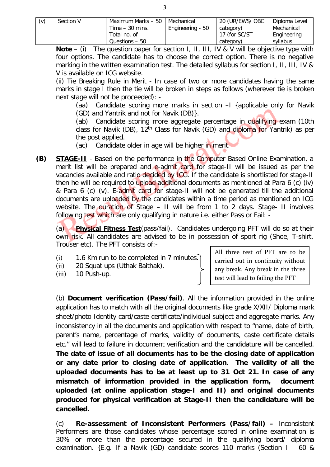| (v) | Section V | Maximum Marks – 50 | Mechanical       | 20 (UR/EWS/ OBC | Diploma Level |
|-----|-----------|--------------------|------------------|-----------------|---------------|
|     |           | Time $-30$ mins.   | Engineering - 50 | category)       | Mechanical    |
|     |           | Total no. of       |                  | 17 (for SC/ST)  | Engineering   |
|     |           | Questions - 50     |                  | category)       | syllabus      |

**Note** – (i) The question paper for section I, II, III, IV & V will be objective type with four options. The candidate has to choose the correct option. There is no negative marking in the written examination test. The detailed syllabus for section I, II, III, IV & V is available on ICG website.

(ii) Tie Breaking Rule in Merit - In case of two or more candidates having the same marks in stage I then the tie will be broken in steps as follows (wherever tie is broken next stage will not be proceeded): -

(aa) Candidate scoring more marks in section –I {applicable only for Navik (GD) and Yantrik and not for Navik (DB)}.

(ab) Candidate scoring more aggregate percentage in qualifying exam (10th class for Navik (DB), 12th Class for Navik (GD) and diploma for Yantrik) as per the post applied.

(ac) Candidate older in age will be higher in merit.

**(B) STAGE-II** - Based on the performance in the Computer Based Online Examination, a merit list will be prepared and e-admit card for stage-II will be issued as per the vacancies available and ratio decided by ICG. If the candidate is shortlisted for stage-II then he will be required to upload additional documents as mentioned at Para 6 (c) (iv) & Para 6 (c) (v). E-admit card for stage-II will not be generated till the additional documents are uploaded by the candidates within a time period as mentioned on ICG website. The duration of Stage – II will be from 1 to 2 days. Stage- II involves following test which are only qualifying in nature i.e. either Pass or Fail: -

(a) **Physical Fitness Test**(pass/fail). Candidates undergoing PFT will do so at their own risk. All candidates are advised to be in possession of sport rig (Shoe, T-shirt, Trouser etc). The PFT consists of:-

- $(i)$  1.6 Km run to be completed in 7 minutes.
- (ii) 20 Squat ups (Uthak Baithak).
- (iii) 10 Push-up.

All three test of PFT are to be carried out in continuity without any break. Any break in the three test will lead to failing the PFT

(b) **Document verification (Pass/fail)**. All the information provided in the online application has to match with all the original documents like grade X/XII/ Diploma mark sheet/photo Identity card/caste certificate/individual subject and aggregate marks. Any inconsistency in all the documents and application with respect to "name, date of birth, parent's name, percentage of marks, validity of documents, caste certificate details etc." will lead to failure in document verification and the candidature will be cancelled. **The date of issue of all documents has to be the closing date of application or any date prior to closing date of application**. **The validity of all the uploaded documents has to be at least up to 31 Oct 21. In case of any mismatch of information provided in the application form, document uploaded (at online application stage-I and II) and original documents produced for physical verification at Stage-II then the candidature will be cancelled.**

(c) **Re-assessment of Inconsistent Performers (Pass/fail) –** Inconsistent Performers are those candidates whose percentage scored in online examination is 30% or more than the percentage secured in the qualifying board/ diploma examination. {E.g. If a Navik (GD) candidate scores 110 marks (Section I – 60 &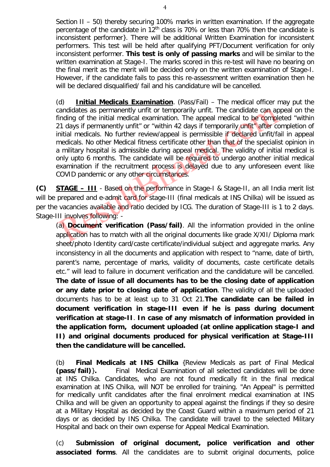Section II – 50) thereby securing 100% marks in written examination. If the aggregate percentage of the candidate in  $12<sup>th</sup>$  class is 70% or less than 70% then the candidate is inconsistent performer}. There will be additional Written Examination for inconsistent performers. This test will be held after qualifying PFT/Document verification for only inconsistent performer. **This test is only of passing marks** and will be similar to the written examination at Stage-I. The marks scored in this re-test will have no bearing on the final merit as the merit will be decided only on the written examination of Stage-I. However, if the candidate fails to pass this re-assessment written examination then he will be declared disqualified/ fail and his candidature will be cancelled.

(d) **Initial Medicals Examination**. (Pass/Fail) – The medical officer may put the candidates as permanently unfit or temporarily unfit. The candidate can appeal on the finding of the initial medical examination. The appeal medical to be completed "within 21 days if permanently unfit" or "within 42 days if temporarily unfit" after completion of initial medicals. No further review/appeal is permissible if declared unfit/fail in appeal medicals. No other Medical fitness certificate other than that of the specialist opinion in a military hospital is admissible during appeal medical. The validity of initial medical is only upto 6 months. The candidate will be required to undergo another initial medical examination if the recruitment process is delayed due to any unforeseen event like COVID pandemic or any other circumstances.

**(C) STAGE – III** - Based on the performance in Stage-I & Stage-II, an all India merit list will be prepared and e-admit card for stage-III (final medicals at INS Chilka) will be issued as per the vacancies available and ratio decided by ICG. The duration of Stage-III is 1 to 2 days. Stage-III involves following: -

(a) **Document verification (Pass/fail)**. All the information provided in the online application has to match with all the original documents like grade X/XII/ Diploma mark sheet/photo Identity card/caste certificate/individual subject and aggregate marks. Any inconsistency in all the documents and application with respect to "name, date of birth, parent's name, percentage of marks, validity of documents, caste certificate details etc." will lead to failure in document verification and the candidature will be cancelled. **The date of issue of all documents has to be the closing date of application or any date prior to closing date of application**. The validity of all the uploaded documents has to be at least up to 31 Oct 21.**The candidate can be failed in document verification in stage-III even if he is pass during document verification at stage-II**. **In case of any mismatch of information provided in the application form, document uploaded (at online application stage-I and II) and original documents produced for physical verification at Stage-III then the candidature will be cancelled.**

(b) **Final Medicals at INS Chilka** {Review Medicals as part of Final Medical **(pass/fail)**}**.** Final Medical Examination of all selected candidates will be done at INS Chilka. Candidates, who are not found medically fit in the final medical examination at INS Chilka, will NOT be enrolled for training. "An Appeal" is permitted for medically unfit candidates after the final enrolment medical examination at INS Chilka and will be given an opportunity to appeal against the findings if they so desire at a Military Hospital as decided by the Coast Guard within a maximum period of 21 days or as decided by INS Chilka. The candidate will travel to the selected Military Hospital and back on their own expense for Appeal Medical Examination.

(c) **Submission of original document, police verification and other associated forms**. All the candidates are to submit original documents, police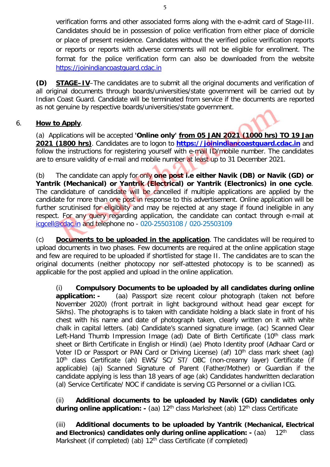verification forms and other associated forms along with the e-admit card of Stage-III. Candidates should be in possession of police verification from either place of domicile or place of present residence. Candidates without the verified police verification reports or reports or reports with adverse comments will not be eligible for enrollment. The format for the police verification form can also be downloaded from the website [https://joinindiancoastguard.cdac.in](https://joinindiancoastguard.cdac.in/)

**(D) STAGE–IV**–The candidates are to submit all the original documents and verification of all original documents through boards/universities/state government will be carried out by Indian Coast Guard. Candidate will be terminated from service if the documents are reported as not genuine by respective boards/universities/state government.

## 6. **How to Apply**.

(a) Applications will be accepted **'Online only' from 05 JAN 2021 (1000 hrs) TO 19 Jan 2021 (1800 hrs)**. Candidates are to logon to **[https://joinindiancoastguard.cdac.in](https://joinindiancoastguard.cdac.in/)** and follow the instructions for registering yourself with e-mail ID/mobile number. The candidates are to ensure validity of e-mail and mobile number at least up to 31 December 2021.

(b) The candidate can apply for only **one post i.e either Navik (DB) or Navik (GD) or Yantrik (Mechanical) or Yantrik (Electrical) or Yantrik (Electronics) in one cycle**. The candidature of candidate will be cancelled if multiple applications are applied by the candidate for more than one post in response to this advertisement. Online application will be further scrutinised for eligibility and may be rejected at any stage if found ineligible in any respect. For any query regarding application, the candidate can contact through e-mail at [icgcell@cdac.in](mailto:icgcell@cdac.in) and telephone no - 020-25503108 / 020-25503109

(c) **Documents to be uploaded in the application**. The candidates will be required to upload documents in two phases. Few documents are required at the online application stage and few are required to be uploaded if shortlisted for stage II. The candidates are to scan the original documents (neither photocopy nor self-attested photocopy is to be scanned) as applicable for the post applied and upload in the online application.

(i) **Compulsory Documents to be uploaded by all candidates during online application: -** (aa) Passport size recent colour photograph (taken not before November 2020) (front portrait in light background without head gear except for Sikhs). The photographs is to taken with candidate holding a black slate in front of his chest with his name and date of photograph taken, clearly written on it with white chalk in capital letters. (ab) Candidate's scanned signature image. (ac) Scanned Clear Left-Hand Thumb Impression Image (ad) Date of Birth Certificate (10<sup>th</sup> class mark sheet or Birth Certificate in English or Hindi) (ae) Photo Identity proof (Adhaar Card or Voter ID or Passport or PAN Card or Driving License) (af) 10<sup>th</sup> class mark sheet (ag) 10<sup>th</sup> class Certificate (ah) EWS/ SC/ ST/ OBC (non-creamy layer) Certificate (if applicable) (aj) Scanned Signature of Parent (Father/Mother) or Guardian if the candidate applying is less than 18 years of age (ak) Candidates handwritten declaration (al) Service Certificate/ NOC if candidate is serving CG Personnel or a civilian ICG.

(ii) **Additional documents to be uploaded by Navik (GD) candidates only during online application:** - (aa) 12<sup>th</sup> class Marksheet (ab) 12<sup>th</sup> class Certificate

(iii) **Additional documents to be uploaded by Yantrik (Mechanical, Electrical and Electronics) candidates only during online application: - (aa)** 12<sup>th</sup> class Marksheet (if completed) (ab) 12<sup>th</sup> class Certificate (if completed)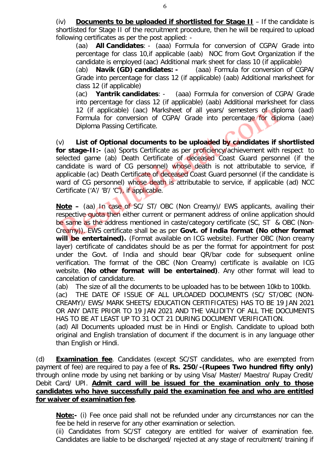(iv) **Documents to be uploaded if shortlisted for Stage II** – If the candidate is shortlisted for Stage II of the recruitment procedure, then he will be required to upload following certificates as per the post applied: -

(aa) **All Candidates**: - (aaa) Formula for conversion of CGPA/ Grade into percentage for class 10,if applicable (aab) NOC from Govt Organization if the candidate is employed (aac) Additional mark sheet for class 10 (if applicable)<br>(ab) **Navik (GD) candidates:** - (aaa) Formula for conversion of CG

(ab) **Navik (GD) candidates: -** (aaa) Formula for conversion of CGPA/ Grade into percentage for class 12 (if applicable) (aab) Additional marksheet for

class 12 (if applicable)<br>(ac) **Yantrik candidates**: -(ac) **Yantrik candidates**: - (aaa) Formula for conversion of CGPA/ Grade into percentage for class 12 (if applicable) (aab) Additional marksheet for class 12 (if applicable) (aac) Marksheet of all years/ semesters of diploma (aad) Formula for conversion of CGPA/ Grade into percentage for diploma (aae) Diploma Passing Certificate.

(v) **List of Optional documents to be uploaded by candidates if shortlisted for stage-II:-** (aa) Sports Certificate as per proficiency/achievement with respect to selected game (ab) Death Certificate of deceased Coast Guard personnel (if the candidate is ward of CG personnel) whose death is not attributable to service, if applicable (ac) Death Certificate of deceased Coast Guard personnel (if the candidate is ward of CG personnel) whose death is attributable to service, if applicable (ad) NCC Certificate ('A'/ 'B'/ 'C'), if applicable.

**Note –** (aa) In case of SC/ ST/ OBC (Non Creamy)/ EWS applicants, availing their respective quota then either current or permanent address of online application should be same as the address mentioned in caste/category certificate (SC, ST & OBC (Non-Creamy)). EWS certificate shall be as per **Govt. of India format (No other format will be entertained).** (Format available on ICG website). Further OBC (Non creamy layer) certificate of candidates should be as per the format for appointment for post under the Govt. of India and should bear QR/bar code for subsequent online verification. The format of the OBC (Non Creamy) certificate is available on ICG website. **(No other format will be entertained)**. Any other format will lead to cancelation of candidature.

(ab) The size of all the documents to be uploaded has to be between 10kb to 100kb.

(ac) THE DATE OF ISSUE OF ALL UPLOADED DOCUMENTS (SC/ ST/OBC (NON-CREAMY)/ EWS/ MARK SHEETS/ EDUCATION CERTIFICATES) HAS TO BE 19 JAN 2021 OR ANY DATE PRIOR TO 19 JAN 2021 AND THE VALIDITY OF ALL THE DOCUMENTS HAS TO BE AT LEAST UP TO 31 OCT 21 DURING DOCUMENT VERIFICATION.

(ad) All Documents uploaded must be in Hindi or English. Candidate to upload both original and English translation of document if the document is in any language other than English or Hindi.

(d) **Examination fee**. Candidates (except SC/ST candidates, who are exempted from payment of fee) are required to pay a fee of **Rs. 250/-(Rupees Two hundred fifty only)** through online mode by using net banking or by using Visa/ Master/ Maestro/ Rupay Credit/ Debit Card/ UPI. **Admit card will be issued for the examination only to those candidates who have successfully paid the examination fee and who are entitled for waiver of examination fee**.

**Note:-** (i) Fee once paid shall not be refunded under any circumstances nor can the fee be held in reserve for any other examination or selection.

(ii) Candidates from SC/ST category are entitled for waiver of examination fee. Candidates are liable to be discharged/ rejected at any stage of recruitment/ training if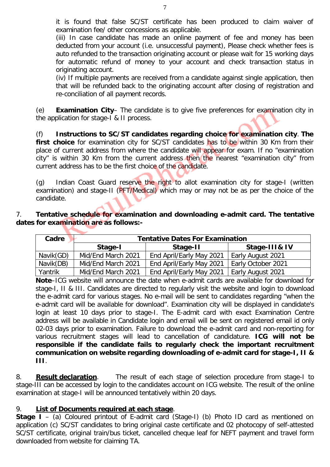it is found that false SC/ST certificate has been produced to claim waiver of examination fee/ other concessions as applicable.

(iii) In case candidate has made an online payment of fee and money has been deducted from your account (i.e. unsuccessful payment), Please check whether fees is auto refunded to the transaction originating account or please wait for 15 working days for automatic refund of money to your account and check transaction status in originating account.

(iv) If multiple payments are received from a candidate against single application, then that will be refunded back to the originating account after closing of registration and re-conciliation of all payment records.

(e) **Examination City**– The candidate is to give five preferences for examination city in the application for stage-I & II process.

(f) **Instructions to SC/ST candidates regarding choice for examination city**. **The**  first choice for examination city for SC/ST candidates has to be within 30 Km from their place of current address from where the candidate will appear for exam. If no "examination city" is within 30 Km from the current address then the nearest "examination city" from current address has to be the first choice of the candidate.

(g) Indian Coast Guard reserve the right to allot examination city for stage-I (written examination) and stage-II (PFT/Medical) which may or may not be as per the choice of the candidate.

## 7. **Tentative schedule for examination and downloading e-admit card. The tentative dates for examination are as follows:-**

| Cadre     | <b>Tentative Dates For Examination</b> |                          |                    |  |  |
|-----------|----------------------------------------|--------------------------|--------------------|--|--|
|           | Stage-I                                | Stage-II                 | Stage-III& IV      |  |  |
| Navik(GD) | Mid/End March 2021                     | End April/Early May 2021 | Early August 2021  |  |  |
| Navik(DB) | Mid/End March 2021                     | End April/Early May 2021 | Early October 2021 |  |  |
| Yantrik   | Mid/End March 2021                     | End April/Early May 2021 | Early August 2021  |  |  |

**Note**–ICG website will announce the date when e-admit cards are available for download for stage-I, II & III. Candidates are directed to regularly visit the website and login to download the e-admit card for various stages. No e-mail will be sent to candidates regarding "when the e-admit card will be available for download". Examination city will be displayed in candidate's login at least 10 days prior to stage-I. The E-admit card with exact Examination Centre address will be available in Candidate login and email will be sent on registered email id only 02-03 days prior to examination. Failure to download the e-admit card and non-reporting for various recruitment stages will lead to cancellation of candidature. **ICG will not be responsible if the candidate fails to regularly check the important recruitment communication on website regarding downloading of e-admit card for stage-I, II & III**.

8. **Result declaration**. The result of each stage of selection procedure from stage-I to stage-III can be accessed by login to the candidates account on ICG website. The result of the online examination at stage-I will be announced tentatively within 20 days.

## 9. **List of Documents required at each stage**.

**Stage I** – (a) Coloured printout of E-admit card (Stage-I) (b) Photo ID card as mentioned on application (c) SC/ST candidates to bring original caste certificate and 02 photocopy of self-attested SC/ST certificate, original train/bus ticket, cancelled cheque leaf for NEFT payment and travel form downloaded from website for claiming TA.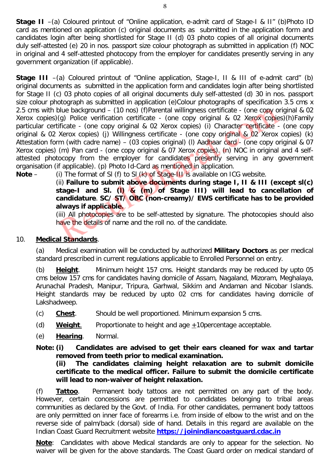**Stage II** –(a) Coloured printout of "Online application, e-admit card of Stage-I & II" (b)Photo ID card as mentioned on application (c) original documents as submitted in the application form and candidates login after being shortlisted for Stage II (d) 03 photo copies of all original documents duly self-attested (e) 20 in nos. passport size colour photograph as submitted in application (f) NOC in original and 4 self-attested photocopy from the employer for candidates presently serving in any government organization (if applicable).

**Stage III** –(a) Coloured printout of "Online application, Stage-I, II & III of e-admit card" (b) original documents as submitted in the application form and candidates login after being shortlisted for Stage II (c) 03 photo copies of all original documents duly self-attested (d) 30 in nos. passport size colour photograph as submitted in application (e)Colour photographs of specification 3.5 cms x 2.5 cms with blue background – (10 nos) (f)Parental willingness certificate - (one copy original & 02 Xerox copies)(g) Police verification certificate - (one copy original & 02 Xerox copies)(h)Family particular certificate - (one copy original & 02 Xerox copies) (i) Character certificate - (one copy original & 02 Xerox copies) (j) Willingness certificate - (one copy original & 02 Xerox copies) (k) Attestation form (with cadre name) – (03 copies original) (I) Aadhaar card - (one copy original & 07 Xerox copies) (m) Pan card - (one copy original & 07 Xerox copies). (n) NOC in original and 4 selfattested photocopy from the employer for candidates presently serving in any government organisation (if applicable). (p) Photo Id-Card as mentioned in application.

**Note** – (i) The format of Sl (f) to Sl (k) of Stage-III is available on ICG website.

(ii) **Failure to submit above documents during stage I, II & III (except sl(c) stage-I and Sl. (l) & (m) of Stage III) will lead to cancellation of candidature**. **SC/ ST/ OBC (non-creamy)/ EWS certificate has to be provided always if applicable.**

(iii) All photocopies are to be self-attested by signature. The photocopies should also have the details of name and the roll no. of the candidate.

## 10. **Medical Standards**.

(a) Medical examination will be conducted by authorized **Military Doctors** as per medical standard prescribed in current regulations applicable to Enrolled Personnel on entry.

(b) **Height**. Minimum height 157 cms. Height standards may be reduced by upto 05 cms below 157 cms for candidates having domicile of Assam, Nagaland, Mizoram, Meghalaya, Arunachal Pradesh, Manipur, Tripura, Garhwal, Sikkim and Andaman and Nicobar Islands. Height standards may be reduced by upto 02 cms for candidates having domicile of Lakshadweep.

- (c) **Chest**. Should be well proportioned. Minimum expansion 5 cms.
- (d) **Weight**. Proportionate to height and age +10percentage acceptable.
- (e) **Hearing**. Normal.

**Note: (i) Candidates are advised to get their ears cleaned for wax and tartar removed from teeth prior to medical examination.**

**(ii) The candidates claiming height relaxation are to submit domicile certificate to the medical officer. Failure to submit the domicile certificate will lead to non-waiver of height relaxation.**

(f) **Tattoo**. Permanent body tattoos are not permitted on any part of the body. However, certain concessions are permitted to candidates belonging to tribal areas communities as declared by the Govt. of India. For other candidates, permanent body tattoos are only permitted on inner face of forearms i.e. from inside of elbow to the wrist and on the reverse side of palm/back (dorsal) side of hand. Details in this regard are available on the Indian Coast Guard Recruitment website **[https://joinindiancoastguard.cdac.in](https://joinindiancoastguard.cdac.in/)**

**Note**: Candidates with above Medical standards are only to appear for the selection. No waiver will be given for the above standards. The Coast Guard order on medical standard of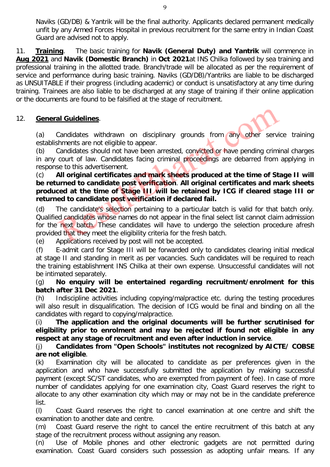Naviks (GD/DB) & Yantrik will be the final authority. Applicants declared permanent medically unfit by any Armed Forces Hospital in previous recruitment for the same entry in Indian Coast Guard are advised not to apply.

11. **Training**. The basic training for **Navik (General Duty) and Yantrik** will commence in **Aug 2021** and **Navik (Domestic Branch)** in **Oct 2021**at INS Chilka followed by sea training and professional training in the allotted trade. Branch/trade will be allocated as per the requirement of service and performance during basic training. Naviks (GD/DB)/Yantriks are liable to be discharged as UNSUITABLE if their progress (including academic) or conduct is unsatisfactory at any time during training. Trainees are also liable to be discharged at any stage of training if their online application or the documents are found to be falsified at the stage of recruitment.

## 12. **General Guidelines**.

(a) Candidates withdrawn on disciplinary grounds from any other service training establishments are not eligible to appear.

(b) Candidates should not have been arrested, convicted or have pending criminal charges in any court of law. Candidates facing criminal proceedings are debarred from applying in response to this advertisement.

#### (c) **All original certificates and mark sheets produced at the time of Stage II will be returned to candidate post verification**. **All original certificates and mark sheets produced at the time of Stage III will be retained by ICG if cleared stage III or returned to candidate post verification if declared fail.**

(d) The candidate's selection pertaining to a particular batch is valid for that batch only. Qualified candidates whose names do not appear in the final select list cannot claim admission for the next batch. These candidates will have to undergo the selection procedure afresh provided that they meet the eligibility criteria for the fresh batch.

(e) Applications received by post will not be accepted.

(f) E-admit card for Stage III will be forwarded only to candidates clearing initial medical at stage II and standing in merit as per vacancies. Such candidates will be required to reach the training establishment INS Chilka at their own expense. Unsuccessful candidates will not be intimated separately.

(g) **No enquiry will be entertained regarding recruitment/enrolment for this batch after 31 Dec 2021**.

(h) Indiscipline activities including copying/malpractice etc. during the testing procedures will also result in disqualification. The decision of ICG would be final and binding on all the candidates with regard to copying/malpractice.

(i) **The application and the original documents will be further scrutinised for eligibility prior to enrolment and may be rejected if found not eligible in any respect at any stage of recruitment and even after induction in service**.

## (j) **Candidates from "Open Schools" institutes not recognized by AICTE/ COBSE are not eligible**.

(k) Examination city will be allocated to candidate as per preferences given in the application and who have successfully submitted the application by making successful payment (except SC/ST candidates, who are exempted from payment of fee). In case of more number of candidates applying for one examination city, Coast Guard reserves the right to allocate to any other examination city which may or may not be in the candidate preference list.

(l) Coast Guard reserves the right to cancel examination at one centre and shift the examination to another date and centre.

(m) Coast Guard reserve the right to cancel the entire recruitment of this batch at any stage of the recruitment process without assigning any reason.

(n) Use of Mobile phones and other electronic gadgets are not permitted during examination. Coast Guard considers such possession as adopting unfair means. If any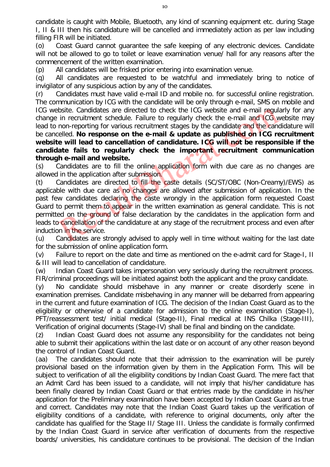candidate is caught with Mobile, Bluetooth, any kind of scanning equipment etc. during Stage I, II & III then his candidature will be cancelled and immediately action as per law including filling FIR will be initiated.

(o) Coast Guard cannot guarantee the safe keeping of any electronic devices. Candidate will not be allowed to go to toilet or leave examination venue/ hall for any reasons after the commencement of the written examination.

(p) All candidates will be frisked prior entering into examination venue.

(q) All candidates are requested to be watchful and immediately bring to notice of invigilator of any suspicious action by any of the candidates.

(r) Candidates must have valid e-mail ID and mobile no. for successful online registration. The communication by ICG with the candidate will be only through e-mail, SMS on mobile and ICG website. Candidates are directed to check the ICG website and e-mail regularly for any change in recruitment schedule. Failure to regularly check the e-mail and ICG website may lead to non-reporting for various recruitment stages by the candidate and the candidature will be cancelled. **No response on the e-mail & update as published on ICG recruitment website will lead to cancellation of candidature. ICG will not be responsible if the candidate fails to regularly check the important recruitment communication through e-mail and website.**

(s) Candidates are to fill the online application form with due care as no changes are allowed in the application after submission.

(t) Candidates are directed to fill the caste details (SC/ST/OBC (Non-Creamy)/EWS) as applicable with due care as no changes are allowed after submission of application. In the past few candidates declaring the caste wrongly in the application form requested Coast Guard to permit them to appear in the written examination as general candidate. This is not permitted on the ground of false declaration by the candidates in the application form and leads to cancellation of the candidature at any stage of the recruitment process and even after induction in the service.

(u) Candidates are strongly advised to apply well in time without waiting for the last date for the submission of online application form.

(v) Failure to report on the date and time as mentioned on the e-admit card for Stage-I, II & III will lead to cancellation of candidature.

(w) Indian Coast Guard takes impersonation very seriously during the recruitment process. FIR/criminal proceedings will be initiated against both the applicant and the proxy candidate.

(y) No candidate should misbehave in any manner or create disorderly scene in examination premises. Candidate misbehaving in any manner will be debarred from appearing in the current and future examination of ICG. The decision of the Indian Coast Guard as to the eligibility or otherwise of a candidate for admission to the online examination (Stage-I), PFT/reassessment test/ initial medical (Stage-II), Final medical at INS Chilka (Stage-III), Verification of original documents (Stage-IV) shall be final and binding on the candidate.

(z) Indian Coast Guard does not assume any responsibility for the candidates not being able to submit their applications within the last date or on account of any other reason beyond the control of Indian Coast Guard.

(aa) The candidates should note that their admission to the examination will be purely provisional based on the information given by them in the Application Form. This will be subject to verification of all the eligibility conditions by Indian Coast Guard. The mere fact that an Admit Card has been issued to a candidate, will not imply that his/her candidature has been finally cleared by Indian Coast Guard or that entries made by the candidate in his/her application for the Preliminary examination have been accepted by Indian Coast Guard as true and correct. Candidates may note that the Indian Coast Guard takes up the verification of eligibility conditions of a candidate, with reference to original documents, only after the candidate has qualified for the Stage II/ Stage III. Unless the candidate is formally confirmed by the Indian Coast Guard in service after verification of documents from the respective boards/ universities, his candidature continues to be provisional. The decision of the Indian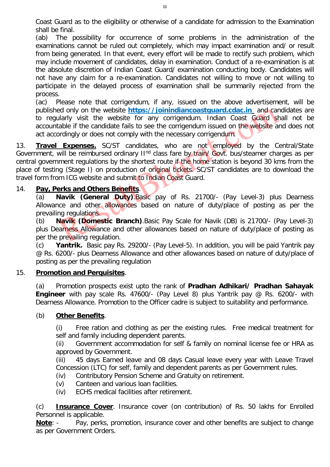Coast Guard as to the eligibility or otherwise of a candidate for admission to the Examination shall be final.

(ab) The possibility for occurrence of some problems in the administration of the examinations cannot be ruled out completely, which may impact examination and/ or result from being generated. In that event, every effort will be made to rectify such problem, which may include movement of candidates, delay in examination. Conduct of a re-examination is at the absolute discretion of Indian Coast Guard/ examination conducting body. Candidates will not have any claim for a re-examination. Candidates not willing to move or not willing to participate in the delayed process of examination shall be summarily rejected from the process.

(ac) Please note that corrigendum, if any, issued on the above advertisement, will be published only on the website **[https://joinindiancoastguard.cdac.in](https://joinindiancoastguard.cdac.in/)** and candidates are to regularly visit the website for any corrigendum. Indian Coast Guard shall not be accountable if the candidate fails to see the corrigendum issued on the website and does not act accordingly or does not comply with the necessary corrigendum.

13. **Travel Expenses.** SC/ST candidates, who are not employed by the Central/State Government, will be reimbursed ordinary  $II<sup>nd</sup>$  class fare by train/ Govt. bus/steamer charges as per central government regulations by the shortest route if the home station is beyond 30 kms from the place of testing (Stage I) on production of original tickets. SC/ST candidates are to download the travel form from ICG website and submit to Indian Coast Guard.

## 14. **Pay, Perks and Others Benefits**.

(a) **Navik (General Duty)**.Basic pay of Rs. 21700/- (Pay Level-3) plus Dearness Allowance and other allowances based on nature of duty/place of posting as per the prevailing regulations.

(b) **Navik (Domestic Branch)**.Basic Pay Scale for Navik (DB) is 21700/- (Pay Level-3) plus Dearness Allowance and other allowances based on nature of duty/place of posting as per the prevailing regulation.

(c) **Yantrik.** Basic pay Rs. 29200/- (Pay Level-5). In addition, you will be paid Yantrik pay @ Rs. 6200/- plus Dearness Allowance and other allowances based on nature of duty/place of posting as per the prevailing regulation

#### 15. **Promotion and Perquisites**.

(a) Promotion prospects exist upto the rank of **Pradhan Adhikari/ Pradhan Sahayak Engineer** with pay scale Rs. 47600/- (Pay Level 8) plus Yantrik pay @ Rs. 6200/- with Dearness Allowance. Promotion to the Officer cadre is subject to suitability and performance.

## (b) **Other Benefits**.

(i) Free ration and clothing as per the existing rules. Free medical treatment for self and family including dependent parents.

(ii) Government accommodation for self & family on nominal license fee or HRA as approved by Government.

(iii) 45 days Earned leave and 08 days Casual leave every year with Leave Travel Concession (LTC) for self, family and dependent parents as per Government rules.

- (iv) Contributory Pension Scheme and Gratuity on retirement.
- (v) Canteen and various loan facilities.
- (iv) ECHS medical facilities after retirement.

(c) **Insurance Cover**. Insurance cover (on contribution) of Rs. 50 lakhs for Enrolled Personnel is applicable.

**Note**: - Pay, perks, promotion, insurance cover and other benefits are subject to change as per Government Orders.